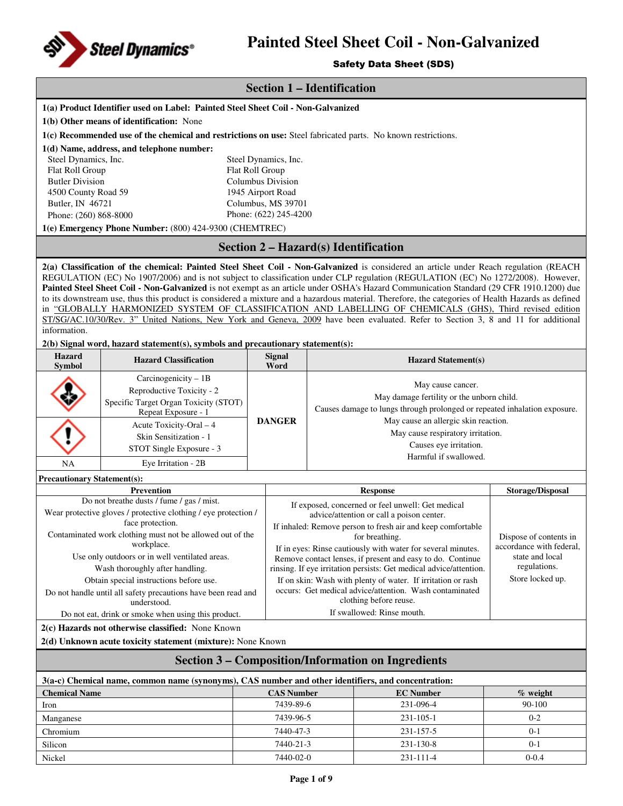

## Safety Data Sheet (SDS)

| Jalety Data Jileet (JDJ)              |                                                                                                                                                   |                 |                                                                                                                                                               |                                           |                                                                                                                         |                                 |  |
|---------------------------------------|---------------------------------------------------------------------------------------------------------------------------------------------------|-----------------|---------------------------------------------------------------------------------------------------------------------------------------------------------------|-------------------------------------------|-------------------------------------------------------------------------------------------------------------------------|---------------------------------|--|
|                                       | <b>Section 1 – Identification</b>                                                                                                                 |                 |                                                                                                                                                               |                                           |                                                                                                                         |                                 |  |
|                                       | 1(a) Product Identifier used on Label: Painted Steel Sheet Coil - Non-Galvanized                                                                  |                 |                                                                                                                                                               |                                           |                                                                                                                         |                                 |  |
|                                       | 1(b) Other means of identification: None                                                                                                          |                 |                                                                                                                                                               |                                           |                                                                                                                         |                                 |  |
|                                       | 1(c) Recommended use of the chemical and restrictions on use: Steel fabricated parts. No known restrictions.                                      |                 |                                                                                                                                                               |                                           |                                                                                                                         |                                 |  |
|                                       | 1(d) Name, address, and telephone number:                                                                                                         |                 |                                                                                                                                                               |                                           |                                                                                                                         |                                 |  |
| Steel Dynamics, Inc.                  |                                                                                                                                                   |                 | Steel Dynamics, Inc.                                                                                                                                          |                                           |                                                                                                                         |                                 |  |
| Flat Roll Group                       |                                                                                                                                                   | Flat Roll Group |                                                                                                                                                               |                                           |                                                                                                                         |                                 |  |
| <b>Butler Division</b>                |                                                                                                                                                   |                 | Columbus Division                                                                                                                                             |                                           |                                                                                                                         |                                 |  |
| 4500 County Road 59                   |                                                                                                                                                   |                 | 1945 Airport Road                                                                                                                                             |                                           |                                                                                                                         |                                 |  |
| Butler, IN 46721                      |                                                                                                                                                   |                 | Columbus, MS 39701                                                                                                                                            |                                           |                                                                                                                         |                                 |  |
| Phone: (260) 868-8000                 |                                                                                                                                                   |                 | Phone: (622) 245-4200                                                                                                                                         |                                           |                                                                                                                         |                                 |  |
|                                       | 1(e) Emergency Phone Number: (800) 424-9300 (CHEMTREC)                                                                                            |                 |                                                                                                                                                               |                                           |                                                                                                                         |                                 |  |
|                                       |                                                                                                                                                   |                 |                                                                                                                                                               |                                           | Section 2 - Hazard(s) Identification                                                                                    |                                 |  |
|                                       | 2(a) Classification of the chemical: Painted Steel Sheet Coil - Non-Galvanized is considered an article under Reach regulation (REACH             |                 |                                                                                                                                                               |                                           |                                                                                                                         |                                 |  |
|                                       | REGULATION (EC) No 1907/2006) and is not subject to classification under CLP regulation (REGULATION (EC) No 1272/2008). However,                  |                 |                                                                                                                                                               |                                           |                                                                                                                         |                                 |  |
|                                       | Painted Steel Sheet Coil - Non-Galvanized is not exempt as an article under OSHA's Hazard Communication Standard (29 CFR 1910.1200) due           |                 |                                                                                                                                                               |                                           |                                                                                                                         |                                 |  |
|                                       | to its downstream use, thus this product is considered a mixture and a hazardous material. Therefore, the categories of Health Hazards as defined |                 |                                                                                                                                                               |                                           |                                                                                                                         |                                 |  |
|                                       | in "GLOBALLY HARMONIZED SYSTEM OF CLASSIFICATION AND LABELLING OF CHEMICALS (GHS), Third revised edition                                          |                 |                                                                                                                                                               |                                           |                                                                                                                         |                                 |  |
| information.                          | ST/SG/AC.10/30/Rev. 3" United Nations, New York and Geneva, 2009 have been evaluated. Refer to Section 3, 8 and 11 for additional                 |                 |                                                                                                                                                               |                                           |                                                                                                                         |                                 |  |
|                                       |                                                                                                                                                   |                 |                                                                                                                                                               |                                           |                                                                                                                         |                                 |  |
|                                       | 2(b) Signal word, hazard statement(s), symbols and precautionary statement(s):                                                                    |                 |                                                                                                                                                               |                                           |                                                                                                                         |                                 |  |
| <b>Hazard</b><br><b>Symbol</b>        | <b>Hazard Classification</b>                                                                                                                      |                 | <b>Signal</b><br>Word                                                                                                                                         |                                           | <b>Hazard Statement(s)</b>                                                                                              |                                 |  |
|                                       | Carcinogenicity $-1B$                                                                                                                             |                 |                                                                                                                                                               |                                           |                                                                                                                         |                                 |  |
|                                       | Reproductive Toxicity - 2                                                                                                                         |                 |                                                                                                                                                               | May cause cancer.                         |                                                                                                                         |                                 |  |
| Specific Target Organ Toxicity (STOT) |                                                                                                                                                   |                 |                                                                                                                                                               | May damage fertility or the unborn child. |                                                                                                                         |                                 |  |
|                                       | Repeat Exposure - 1                                                                                                                               |                 |                                                                                                                                                               |                                           | Causes damage to lungs through prolonged or repeated inhalation exposure.<br>May cause an allergic skin reaction.       |                                 |  |
|                                       | Acute Toxicity-Oral - 4                                                                                                                           |                 | <b>DANGER</b>                                                                                                                                                 |                                           |                                                                                                                         |                                 |  |
|                                       | Skin Sensitization - 1                                                                                                                            |                 | May cause respiratory irritation.<br>Causes eye irritation.                                                                                                   |                                           |                                                                                                                         |                                 |  |
|                                       | STOT Single Exposure - 3                                                                                                                          |                 |                                                                                                                                                               |                                           |                                                                                                                         |                                 |  |
| NA                                    | Eye Irritation - 2B                                                                                                                               |                 |                                                                                                                                                               |                                           | Harmful if swallowed.                                                                                                   |                                 |  |
| <b>Precautionary Statement(s):</b>    |                                                                                                                                                   |                 |                                                                                                                                                               |                                           |                                                                                                                         |                                 |  |
|                                       | <b>Prevention</b>                                                                                                                                 |                 |                                                                                                                                                               |                                           | <b>Response</b>                                                                                                         | <b>Storage/Disposal</b>         |  |
|                                       | Do not breathe dusts / fume / gas / mist.                                                                                                         |                 | If exposed, concerned or feel unwell: Get medical<br>advice/attention or call a poison center.<br>If inhaled: Remove person to fresh air and keep comfortable |                                           |                                                                                                                         |                                 |  |
|                                       | Wear protective gloves / protective clothing / eye protection /                                                                                   |                 |                                                                                                                                                               |                                           |                                                                                                                         |                                 |  |
|                                       | face protection.                                                                                                                                  |                 |                                                                                                                                                               |                                           |                                                                                                                         |                                 |  |
|                                       | Contaminated work clothing must not be allowed out of the                                                                                         |                 |                                                                                                                                                               |                                           | for breathing.                                                                                                          | Dispose of contents in          |  |
|                                       | workplace.                                                                                                                                        |                 |                                                                                                                                                               |                                           | If in eyes: Rinse cautiously with water for several minutes.                                                            | accordance with federal,        |  |
|                                       | Use only outdoors or in well ventilated areas.                                                                                                    |                 |                                                                                                                                                               |                                           | Remove contact lenses, if present and easy to do. Continue                                                              | state and local<br>regulations. |  |
|                                       | Wash thoroughly after handling.                                                                                                                   |                 |                                                                                                                                                               |                                           | rinsing. If eye irritation persists: Get medical advice/attention.                                                      | Store locked up.                |  |
|                                       | Obtain special instructions before use.                                                                                                           |                 |                                                                                                                                                               |                                           | If on skin: Wash with plenty of water. If irritation or rash<br>occurs: Get medical advice/attention. Wash contaminated |                                 |  |
|                                       | Do not handle until all safety precautions have been read and<br>understood.                                                                      |                 |                                                                                                                                                               |                                           | clothing before reuse.                                                                                                  |                                 |  |
|                                       | Do not eat, drink or smoke when using this product.                                                                                               |                 |                                                                                                                                                               |                                           | If swallowed: Rinse mouth.                                                                                              |                                 |  |
|                                       |                                                                                                                                                   |                 |                                                                                                                                                               |                                           |                                                                                                                         |                                 |  |
|                                       | 2(c) Hazards not otherwise classified: None Known<br>2(d) Unknown acute toxicity statement (mixture): None Known                                  |                 |                                                                                                                                                               |                                           |                                                                                                                         |                                 |  |
|                                       |                                                                                                                                                   |                 |                                                                                                                                                               |                                           |                                                                                                                         |                                 |  |
|                                       |                                                                                                                                                   |                 |                                                                                                                                                               |                                           | <b>Section 3 – Composition/Information on Ingredients</b>                                                               |                                 |  |
| <b>Chemical Name</b>                  | 3(a-c) Chemical name, common name (synonyms), CAS number and other identifiers, and concentration:                                                |                 | <b>CAS Number</b>                                                                                                                                             |                                           | <b>EC</b> Number                                                                                                        | $%$ weight                      |  |
| Iron                                  |                                                                                                                                                   |                 | 7439-89-6                                                                                                                                                     |                                           | 231-096-4                                                                                                               | 90-100                          |  |
|                                       |                                                                                                                                                   |                 |                                                                                                                                                               |                                           |                                                                                                                         |                                 |  |
| Manganese                             |                                                                                                                                                   |                 | 7439-96-5                                                                                                                                                     |                                           | 231-105-1                                                                                                               | $0 - 2$                         |  |
| Chromium                              |                                                                                                                                                   |                 | 7440-47-3                                                                                                                                                     |                                           | 231-157-5                                                                                                               | $0 - 1$                         |  |
| Silicon                               |                                                                                                                                                   |                 | 7440-21-3                                                                                                                                                     |                                           | 231-130-8                                                                                                               | $0 - 1$                         |  |

Nickel 7440-02-0 231-111-4 0-0.4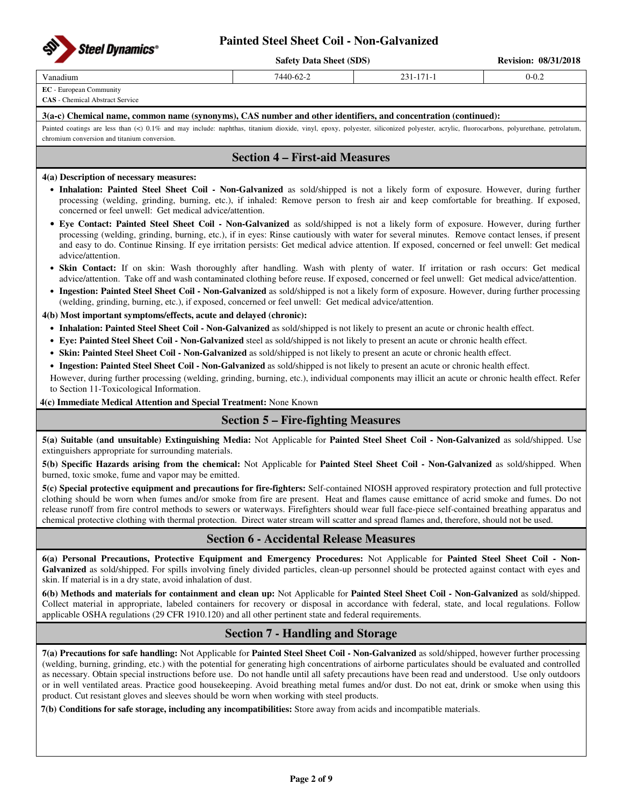

**Safety Data Sheet (SDS)** Revision: 08/31/2018

### Vanadium 7440-62-2 231-171-1 0-0.2

**EC** - European Community

**CAS** - Chemical Abstract Service

### **3(a-c) Chemical name, common name (synonyms), CAS number and other identifiers, and concentration (continued):**

Painted coatings are less than (<) 0.1% and may include: naphthas, titanium dioxide, vinyl, epoxy, polyester, siliconized polyester, acrylic, fluorocarbons, polyurethane, petrolatum, chromium conversion and titanium conversion.

## **Section 4 – First-aid Measures**

### **4(a) Description of necessary measures:**

- **Inhalation: Painted Steel Sheet Coil Non-Galvanized** as sold/shipped is not a likely form of exposure. However, during further processing (welding, grinding, burning, etc.), if inhaled: Remove person to fresh air and keep comfortable for breathing. If exposed, concerned or feel unwell: Get medical advice/attention.
- **Eye Contact: Painted Steel Sheet Coil Non-Galvanized** as sold/shipped is not a likely form of exposure. However, during further processing (welding, grinding, burning, etc.), if in eyes: Rinse cautiously with water for several minutes. Remove contact lenses, if present and easy to do. Continue Rinsing. If eye irritation persists: Get medical advice attention. If exposed, concerned or feel unwell: Get medical advice/attention.
- **Skin Contact:** If on skin: Wash thoroughly after handling. Wash with plenty of water. If irritation or rash occurs: Get medical advice/attention. Take off and wash contaminated clothing before reuse. If exposed, concerned or feel unwell: Get medical advice/attention.
- **Ingestion: Painted Steel Sheet Coil Non-Galvanized** as sold/shipped is not a likely form of exposure. However, during further processing (welding, grinding, burning, etc.), if exposed, concerned or feel unwell: Get medical advice/attention.

### **4(b) Most important symptoms/effects, acute and delayed (chronic):**

- **Inhalation: Painted Steel Sheet Coil Non-Galvanized** as sold/shipped is not likely to present an acute or chronic health effect.
- **Eye: Painted Steel Sheet Coil Non-Galvanized** steel as sold/shipped is not likely to present an acute or chronic health effect.
- **Skin: Painted Steel Sheet Coil Non-Galvanized** as sold/shipped is not likely to present an acute or chronic health effect.
- **Ingestion: Painted Steel Sheet Coil Non-Galvanized** as sold/shipped is not likely to present an acute or chronic health effect.

However, during further processing (welding, grinding, burning, etc.), individual components may illicit an acute or chronic health effect. Refer to Section 11-Toxicological Information.

**4(c) Immediate Medical Attention and Special Treatment:** None Known

## **Section 5 – Fire-fighting Measures**

**5(a) Suitable (and unsuitable) Extinguishing Media:** Not Applicable for **Painted Steel Sheet Coil - Non-Galvanized** as sold/shipped. Use extinguishers appropriate for surrounding materials.

**5(b) Specific Hazards arising from the chemical:** Not Applicable for **Painted Steel Sheet Coil - Non-Galvanized** as sold/shipped. When burned, toxic smoke, fume and vapor may be emitted.

**5(c) Special protective equipment and precautions for fire-fighters:** Self-contained NIOSH approved respiratory protection and full protective clothing should be worn when fumes and/or smoke from fire are present. Heat and flames cause emittance of acrid smoke and fumes. Do not release runoff from fire control methods to sewers or waterways. Firefighters should wear full face-piece self-contained breathing apparatus and chemical protective clothing with thermal protection. Direct water stream will scatter and spread flames and, therefore, should not be used.

## **Section 6 - Accidental Release Measures**

**6(a) Personal Precautions, Protective Equipment and Emergency Procedures:** Not Applicable for **Painted Steel Sheet Coil - Non-**Galvanized as sold/shipped. For spills involving finely divided particles, clean-up personnel should be protected against contact with eyes and skin. If material is in a dry state, avoid inhalation of dust.

**6(b) Methods and materials for containment and clean up:** Not Applicable for **Painted Steel Sheet Coil - Non-Galvanized** as sold/shipped. Collect material in appropriate, labeled containers for recovery or disposal in accordance with federal, state, and local regulations. Follow applicable OSHA regulations (29 CFR 1910.120) and all other pertinent state and federal requirements.

## **Section 7 - Handling and Storage**

**7(a) Precautions for safe handling:** Not Applicable for **Painted Steel Sheet Coil - Non-Galvanized** as sold/shipped, however further processing (welding, burning, grinding, etc.) with the potential for generating high concentrations of airborne particulates should be evaluated and controlled as necessary. Obtain special instructions before use. Do not handle until all safety precautions have been read and understood. Use only outdoors or in well ventilated areas. Practice good housekeeping. Avoid breathing metal fumes and/or dust. Do not eat, drink or smoke when using this product. Cut resistant gloves and sleeves should be worn when working with steel products.

**7(b) Conditions for safe storage, including any incompatibilities:** Store away from acids and incompatible materials.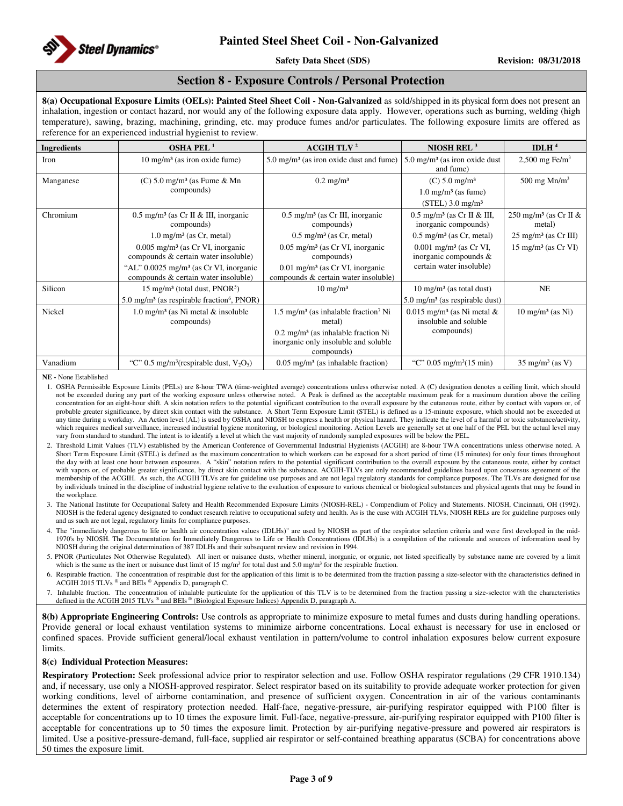

**Safety Data Sheet (SDS)** Revision: 08/31/2018

## **Section 8 - Exposure Controls / Personal Protection**

**8(a) Occupational Exposure Limits (OELs): Painted Steel Sheet Coil - Non-Galvanized** as sold/shipped in its physical form does not present an inhalation, ingestion or contact hazard, nor would any of the following exposure data apply. However, operations such as burning, welding (high temperature), sawing, brazing, machining, grinding, etc. may produce fumes and/or particulates. The following exposure limits are offered as reference for an experienced industrial hygienist to review.

| <b>Ingredients</b> | <b>OSHA PEL<sup>1</sup></b>                                                                                       | <b>ACGIH TLV<sup>2</sup></b>                                                                                                                                                  | NIOSH REL $3$                                                                                      | IDLH $4$                                    |
|--------------------|-------------------------------------------------------------------------------------------------------------------|-------------------------------------------------------------------------------------------------------------------------------------------------------------------------------|----------------------------------------------------------------------------------------------------|---------------------------------------------|
| Iron               | $10 \text{ mg/m}^3$ (as iron oxide fume)                                                                          | $5.0 \text{ mg/m}^3$ (as iron oxide dust and fume)                                                                                                                            | $5.0 \text{ mg/m}^3$ (as iron oxide dust<br>and fume)                                              | 2,500 mg Fe/m <sup>3</sup>                  |
| Manganese          | $(C)$ 5.0 mg/m <sup>3</sup> (as Fume & Mn<br>compounds)                                                           | $0.2 \text{ mg/m}^3$                                                                                                                                                          | $(C) 5.0$ mg/m <sup>3</sup><br>$1.0$ mg/m <sup>3</sup> (as fume)<br>$(STEL)$ 3.0 mg/m <sup>3</sup> | 500 mg $Mn/m3$                              |
| Chromium           | $0.5 \text{ mg/m}^3$ (as Cr II & III, inorganic<br>compounds)                                                     | $0.5 \text{ mg/m}^3$ (as Cr III, inorganic<br>compounds)                                                                                                                      | $0.5$ mg/m <sup>3</sup> (as Cr II & III,<br>inorganic compounds)                                   | 250 mg/m <sup>3</sup> (as Cr II &<br>metal) |
|                    | $1.0 \text{ mg/m}^3$ (as Cr, metal)                                                                               | $0.5$ mg/m <sup>3</sup> (as Cr, metal)                                                                                                                                        | $0.5 \text{ mg/m}^3$ (as Cr, metal)                                                                | $25 \text{ mg/m}^3$ (as Cr III)             |
|                    | $0.005$ mg/m <sup>3</sup> (as Cr VI, inorganic<br>compounds & certain water insoluble)                            | $0.05$ mg/m <sup>3</sup> (as Cr VI, inorganic<br>compounds)                                                                                                                   | $0.001$ mg/m <sup>3</sup> (as Cr VI,<br>inorganic compounds $&$                                    | $15 \text{ mg/m}^3$ (as Cr VI)              |
|                    | "AL" $0.0025$ mg/m <sup>3</sup> (as Cr VI, inorganic<br>compounds & certain water insoluble)                      | 0.01 mg/m <sup>3</sup> (as Cr VI, inorganic<br>compounds & certain water insoluble)                                                                                           | certain water insoluble)                                                                           |                                             |
| Silicon            | 15 mg/m <sup>3</sup> (total dust, $PNOR5$ )<br>5.0 mg/m <sup>3</sup> (as respirable fraction <sup>6</sup> , PNOR) | $10 \text{ mg/m}^3$                                                                                                                                                           | $10 \text{ mg/m}^3$ (as total dust)<br>$5.0 \text{ mg/m}^3$ (as respirable dust)                   | NE                                          |
| Nickel             | $1.0 \text{ mg/m}^3$ (as Ni metal & insoluble<br>compounds)                                                       | $1.5 \text{ mg/m}^3$ (as inhalable fraction <sup>7</sup> Ni<br>metal)<br>$0.2 \text{ mg/m}^3$ (as inhalable fraction Ni<br>inorganic only insoluble and soluble<br>compounds) | $0.015$ mg/m <sup>3</sup> (as Ni metal &<br>insoluble and soluble<br>compounds)                    | $10 \text{ mg/m}^3$ (as Ni)                 |
| Vanadium           | "C" 0.5 mg/m <sup>3</sup> (respirable dust, $V_2O_5$ )                                                            | $0.05$ mg/m <sup>3</sup> (as inhalable fraction)                                                                                                                              | "C" $0.05 \text{ mg/m}^3(15 \text{ min})$                                                          | $35 \text{ mg/m}^3 \text{ (as V)}$          |

**NE -** None Established

1. OSHA Permissible Exposure Limits (PELs) are 8-hour TWA (time-weighted average) concentrations unless otherwise noted. A (C) designation denotes a ceiling limit, which should not be exceeded during any part of the working exposure unless otherwise noted. A Peak is defined as the acceptable maximum peak for a maximum duration above the ceiling concentration for an eight-hour shift. A skin notation refers to the potential significant contribution to the overall exposure by the cutaneous route, either by contact with vapors or, of probable greater significance, by direct skin contact with the substance. A Short Term Exposure Limit (STEL) is defined as a 15-minute exposure, which should not be exceeded at any time during a workday. An Action level (AL) is used by OSHA and NIOSH to express a health or physical hazard. They indicate the level of a harmful or toxic substance/activity, which requires medical surveillance, increased industrial hygiene monitoring, or biological monitoring. Action Levels are generally set at one half of the PEL but the actual level may vary from standard to standard. The intent is to identify a level at which the vast majority of randomly sampled exposures will be below the PEL.

- 2. Threshold Limit Values (TLV) established by the American Conference of Governmental Industrial Hygienists (ACGIH) are 8-hour TWA concentrations unless otherwise noted. A Short Term Exposure Limit (STEL) is defined as the maximum concentration to which workers can be exposed for a short period of time (15 minutes) for only four times throughout the day with at least one hour between exposures. A "skin" notation refers to the potential significant contribution to the overall exposure by the cutaneous route, either by contact with vapors or, of probable greater significance, by direct skin contact with the substance. ACGIH-TLVs are only recommended guidelines based upon consensus agreement of the membership of the ACGIH. As such, the ACGIH TLVs are for guideline use purposes and are not legal regulatory standards for compliance purposes. The TLVs are designed for use by individuals trained in the discipline of industrial hygiene relative to the evaluation of exposure to various chemical or biological substances and physical agents that may be found in the workplace.
- 3. The National Institute for Occupational Safety and Health Recommended Exposure Limits (NIOSH-REL) Compendium of Policy and Statements. NIOSH, Cincinnati, OH (1992). NIOSH is the federal agency designated to conduct research relative to occupational safety and health. As is the case with ACGIH TLVs, NIOSH RELs are for guideline purposes only and as such are not legal, regulatory limits for compliance purposes.

4. The "immediately dangerous to life or health air concentration values (IDLHs)" are used by NIOSH as part of the respirator selection criteria and were first developed in the mid-1970's by NIOSH. The Documentation for Immediately Dangerous to Life or Health Concentrations (IDLHs) is a compilation of the rationale and sources of information used by NIOSH during the original determination of 387 IDLHs and their subsequent review and revision in 1994.

5. PNOR (Particulates Not Otherwise Regulated). All inert or nuisance dusts, whether mineral, inorganic, or organic, not listed specifically by substance name are covered by a limit which is the same as the inert or nuisance dust limit of 15 mg/m<sup>3</sup> for total dust and 5.0 mg/m<sup>3</sup> for the respirable fraction.

6. Respirable fraction. The concentration of respirable dust for the application of this limit is to be determined from the fraction passing a size-selector with the characteristics defined in ACGIH 2015 TLVs ® and BEIs ® Appendix D, paragraph C.

7. Inhalable fraction. The concentration of inhalable particulate for the application of this TLV is to be determined from the fraction passing a size-selector with the characteristics defined in the ACGIH 2015 TLVs ® and BEIs ® (Biological Exposure Indices) Appendix D, paragraph A.

**8(b) Appropriate Engineering Controls:** Use controls as appropriate to minimize exposure to metal fumes and dusts during handling operations. Provide general or local exhaust ventilation systems to minimize airborne concentrations. Local exhaust is necessary for use in enclosed or confined spaces. Provide sufficient general/local exhaust ventilation in pattern/volume to control inhalation exposures below current exposure limits.

### **8(c) Individual Protection Measures:**

**Respiratory Protection:** Seek professional advice prior to respirator selection and use. Follow OSHA respirator regulations (29 CFR 1910.134) and, if necessary, use only a NIOSH-approved respirator. Select respirator based on its suitability to provide adequate worker protection for given working conditions, level of airborne contamination, and presence of sufficient oxygen. Concentration in air of the various contaminants determines the extent of respiratory protection needed. Half-face, negative-pressure, air-purifying respirator equipped with P100 filter is acceptable for concentrations up to 10 times the exposure limit. Full-face, negative-pressure, air-purifying respirator equipped with P100 filter is acceptable for concentrations up to 50 times the exposure limit. Protection by air-purifying negative-pressure and powered air respirators is limited. Use a positive-pressure-demand, full-face, supplied air respirator or self-contained breathing apparatus (SCBA) for concentrations above 50 times the exposure limit.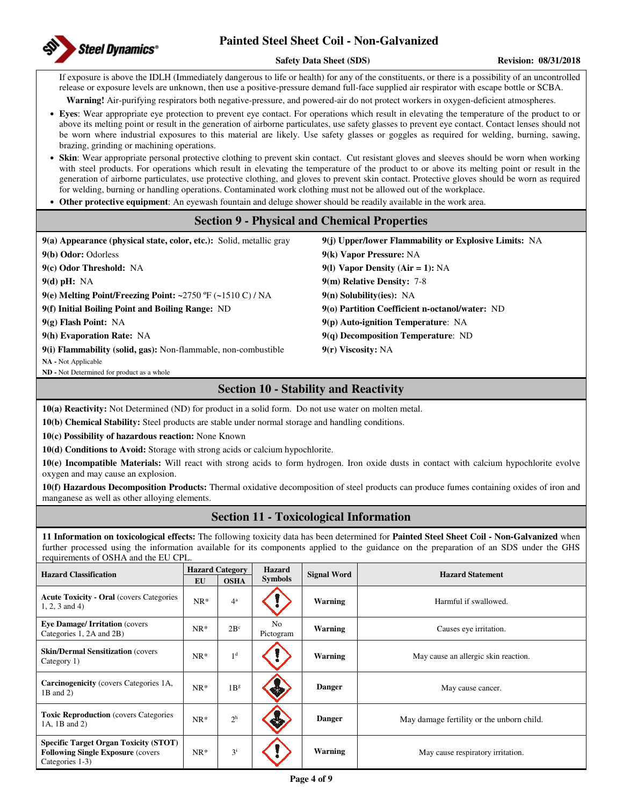

### **Safety Data Sheet (SDS) Revision: 08/31/2018**

If exposure is above the IDLH (Immediately dangerous to life or health) for any of the constituents, or there is a possibility of an uncontrolled release or exposure levels are unknown, then use a positive-pressure demand full-face supplied air respirator with escape bottle or SCBA.

**Warning!** Air-purifying respirators both negative-pressure, and powered-air do not protect workers in oxygen-deficient atmospheres.

- **Eyes**: Wear appropriate eye protection to prevent eye contact. For operations which result in elevating the temperature of the product to or above its melting point or result in the generation of airborne particulates, use safety glasses to prevent eye contact. Contact lenses should not be worn where industrial exposures to this material are likely. Use safety glasses or goggles as required for welding, burning, sawing, brazing, grinding or machining operations.
- **Skin**: Wear appropriate personal protective clothing to prevent skin contact. Cut resistant gloves and sleeves should be worn when working with steel products. For operations which result in elevating the temperature of the product to or above its melting point or result in the generation of airborne particulates, use protective clothing, and gloves to prevent skin contact. Protective gloves should be worn as required for welding, burning or handling operations. Contaminated work clothing must not be allowed out of the workplace.
- **Other protective equipment**: An eyewash fountain and deluge shower should be readily available in the work area.

## **Section 9 - Physical and Chemical Properties**

**9(a) Appearance (physical state, color, etc.):** Solid, metallic gray **9(j) Upper/lower Flammability or Explosive Limits:** NA **9(b) Odor:** Odorless **9(k) Vapor Pressure:** NA **9(c) Odor Threshold:** NA **9(l) Vapor Density (Air = 1):** NA **9(d) pH:** NA **9(m) Relative Density:** 7-8 **9(e) Melting Point/Freezing Point: ~**2750 ºF (**~**1510 C) / NA **9(n) Solubility(ies):** NA **9(f) Initial Boiling Point and Boiling Range:** ND **9(o) Partition Coefficient n-octanol/water:** ND **9(g) Flash Point:** NA **9(p) Auto-ignition Temperature**: NA **9(h) Evaporation Rate:** NA **9(q) Decomposition Temperature**: ND **9(i) Flammability (solid, gas):** Non-flammable, non-combustible **9(r) Viscosity:** NA **NA -** Not Applicable **ND -** Not Determined for product as a whole

## **Section 10 - Stability and Reactivity**

**10(a) Reactivity:** Not Determined (ND) for product in a solid form. Do not use water on molten metal.

**10(b) Chemical Stability:** Steel products are stable under normal storage and handling conditions.

**10(c) Possibility of hazardous reaction:** None Known

**10(d) Conditions to Avoid:** Storage with strong acids or calcium hypochlorite.

**10(e) Incompatible Materials:** Will react with strong acids to form hydrogen. Iron oxide dusts in contact with calcium hypochlorite evolve oxygen and may cause an explosion.

**10(f) Hazardous Decomposition Products:** Thermal oxidative decomposition of steel products can produce fumes containing oxides of iron and manganese as well as other alloying elements.

## **Section 11 - Toxicological Information**

**11 Information on toxicological effects:** The following toxicity data has been determined for **Painted Steel Sheet Coil - Non-Galvanized** when further processed using the information available for its components applied to the guidance on the preparation of an SDS under the GHS requirements of OSHA and the EU CPL.

| <b>Hazard Classification</b>                                                                                 | EU     | <b>Hazard Category</b><br><b>OSHA</b> | <b>Hazard</b><br><b>Symbols</b> | <b>Signal Word</b> | <b>Hazard Statement</b>                   |
|--------------------------------------------------------------------------------------------------------------|--------|---------------------------------------|---------------------------------|--------------------|-------------------------------------------|
| <b>Acute Toxicity - Oral (covers Categories)</b><br>$1, 2, 3$ and 4)                                         | $NR^*$ | $4^a$                                 |                                 | Warning            | Harmful if swallowed.                     |
| <b>Eye Damage/Irritation (covers)</b><br>Categories 1, 2A and 2B)                                            | $NR^*$ | $2B^c$                                | No<br>Pictogram                 | Warning            | Causes eye irritation.                    |
| <b>Skin/Dermal Sensitization (covers)</b><br>Category 1)                                                     | $NR*$  | 1 <sup>d</sup>                        |                                 | Warning            | May cause an allergic skin reaction.      |
| <b>Carcinogenicity</b> (covers Categories 1A,<br>1B and 2)                                                   | $NR^*$ | 1B <sup>g</sup>                       |                                 | <b>Danger</b>      | May cause cancer.                         |
| <b>Toxic Reproduction</b> (covers Categories)<br>1A, 1B and 2)                                               | $NR*$  | 2 <sup>h</sup>                        |                                 | <b>Danger</b>      | May damage fertility or the unborn child. |
| <b>Specific Target Organ Toxicity (STOT)</b><br><b>Following Single Exposure (covers)</b><br>Categories 1-3) | $NR^*$ | $3^{i}$                               |                                 | Warning            | May cause respiratory irritation.         |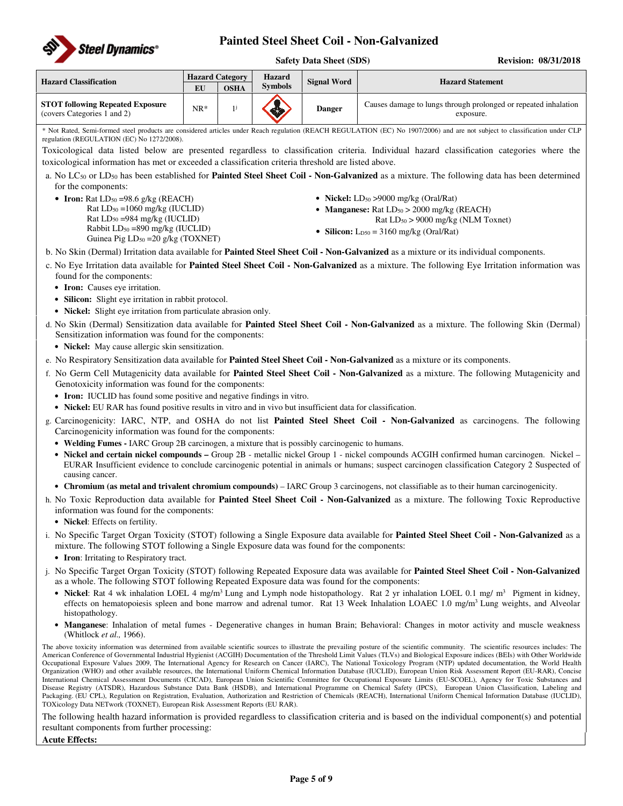

### **Safety Data Sheet (SDS) Revision: 08/31/2018**

| <b>Hazard Classification</b>                                           | EU    | <b>Hazard Category</b><br><b>OSHA</b> | <b>Hazard</b><br>Svmbols | <b>Signal Word</b> | <b>Hazard Statement</b>                                                      |
|------------------------------------------------------------------------|-------|---------------------------------------|--------------------------|--------------------|------------------------------------------------------------------------------|
| <b>STOT following Repeated Exposure</b><br>(covers Categories 1 and 2) | $NR*$ |                                       |                          | <b>Danger</b>      | Causes damage to lungs through prolonged or repeated inhalation<br>exposure. |

\* Not Rated, Semi-formed steel products are considered articles under Reach regulation (REACH REGULATION (EC) No 1907/2006) and are not subject to classification under CLP regulation (REGULATION (EC) No 1272/2008).

Toxicological data listed below are presented regardless to classification criteria. Individual hazard classification categories where the toxicological information has met or exceeded a classification criteria threshold are listed above.

a. No LC50 or LD50 has been established for **Painted Steel Sheet Coil - Non-Galvanized** as a mixture. The following data has been determined for the components:

• **Iron:** Rat  $LD_{50} = 98.6$  g/kg (REACH) Rat  $LD_{50} = 1060$  mg/kg (IUCLID) Rat LD50 =984 mg/kg (IUCLID) Rabbit  $LD_{50} = 890$  mg/kg (IUCLID) Guinea Pig  $LD_{50} = 20$  g/kg (TOXNET)

- **Nickel:** LD<sub>50</sub> > 9000 mg/kg (Oral/Rat)
- **Manganese:** Rat  $LD_{50} > 2000$  mg/kg (REACH)
	- Rat  $LD_{50}$  > 9000 mg/kg (NLM Toxnet)
- **Silicon:**  $L_{D50} = 3160$  mg/kg (Oral/Rat)
- b. No Skin (Dermal) Irritation data available for **Painted Steel Sheet Coil Non-Galvanized** as a mixture or its individual components.
- c. No Eye Irritation data available for **Painted Steel Sheet Coil Non-Galvanized** as a mixture. The following Eye Irritation information was found for the components:
	- **Iron:** Causes eye irritation.
	- **Silicon:** Slight eye irritation in rabbit protocol.
	- **Nickel:** Slight eye irritation from particulate abrasion only.
- d. No Skin (Dermal) Sensitization data available for **Painted Steel Sheet Coil Non-Galvanized** as a mixture. The following Skin (Dermal) Sensitization information was found for the components:
	- **Nickel:** May cause allergic skin sensitization.
- e. No Respiratory Sensitization data available for **Painted Steel Sheet Coil Non-Galvanized** as a mixture or its components.
- f. No Germ Cell Mutagenicity data available for **Painted Steel Sheet Coil Non-Galvanized** as a mixture. The following Mutagenicity and Genotoxicity information was found for the components:
	- **Iron:** IUCLID has found some positive and negative findings in vitro.
	- **Nickel:** EU RAR has found positive results in vitro and in vivo but insufficient data for classification.
- g. Carcinogenicity: IARC, NTP, and OSHA do not list **Painted Steel Sheet Coil Non-Galvanized** as carcinogens. The following Carcinogenicity information was found for the components:
	- **Welding Fumes -** IARC Group 2B carcinogen, a mixture that is possibly carcinogenic to humans.
	- Nickel and certain nickel compounds Group 2B metallic nickel Group 1 nickel compounds ACGIH confirmed human carcinogen. Nickel EURAR Insufficient evidence to conclude carcinogenic potential in animals or humans; suspect carcinogen classification Category 2 Suspected of causing cancer.
- **Chromium (as metal and trivalent chromium compounds)**  IARC Group 3 carcinogens, not classifiable as to their human carcinogenicity.
- h. No Toxic Reproduction data available for **Painted Steel Sheet Coil Non-Galvanized** as a mixture. The following Toxic Reproductive information was found for the components:
	- **Nickel**: Effects on fertility.
- i. No Specific Target Organ Toxicity (STOT) following a Single Exposure data available for **Painted Steel Sheet Coil Non-Galvanized** as a mixture. The following STOT following a Single Exposure data was found for the components:
	- **Iron**: Irritating to Respiratory tract.
- j. No Specific Target Organ Toxicity (STOT) following Repeated Exposure data was available for **Painted Steel Sheet Coil Non-Galvanized** as a whole. The following STOT following Repeated Exposure data was found for the components:
	- **Nickel**: Rat 4 wk inhalation LOEL 4 mg/m<sup>3</sup> Lung and Lymph node histopathology. Rat 2 yr inhalation LOEL 0.1 mg/ m<sup>3</sup> Pigment in kidney, effects on hematopoiesis spleen and bone marrow and adrenal tumor. Rat 13 Week Inhalation LOAEC 1.0 mg/m<sup>3</sup> Lung weights, and Alveolar histopathology.
	- **Manganese**: Inhalation of metal fumes Degenerative changes in human Brain; Behavioral: Changes in motor activity and muscle weakness (Whitlock *et al.,* 1966).

The above toxicity information was determined from available scientific sources to illustrate the prevailing posture of the scientific community. The scientific resources includes: The American Conference of Governmental Industrial Hygienist (ACGIH) Documentation of the Threshold Limit Values (TLVs) and Biological Exposure indices (BEIs) with Other Worldwide Occupational Exposure Values 2009, The International Agency for Research on Cancer (IARC), The National Toxicology Program (NTP) updated documentation, the World Health Organization (WHO) and other available resources, the International Uniform Chemical Information Database (IUCLID), European Union Risk Assessment Report (EU-RAR), Concise International Chemical Assessment Documents (CICAD), European Union Scientific Committee for Occupational Exposure Limits (EU-SCOEL), Agency for Toxic Substances and Disease Registry (ATSDR), Hazardous Substance Data Bank (HSDB), and International Programme on Chemical Safety (IPCS), European Union Classification, Labeling and Packaging. (EU CPL), Regulation on Registration, Evaluation, Authorization and Restriction of Chemicals (REACH), International Uniform Chemical Information Database (IUCLID), TOXicology Data NETwork (TOXNET), European Risk Assessment Reports (EU RAR).

The following health hazard information is provided regardless to classification criteria and is based on the individual component(s) and potential resultant components from further processing:

### **Acute Effects:**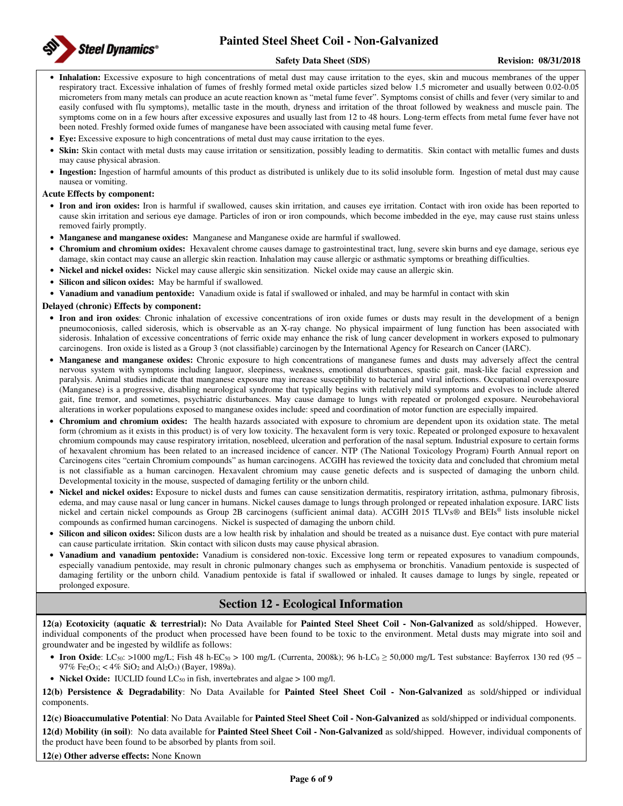

### **Safety Data Sheet (SDS)** Revision: 08/31/2018

- **Inhalation:** Excessive exposure to high concentrations of metal dust may cause irritation to the eyes, skin and mucous membranes of the upper respiratory tract. Excessive inhalation of fumes of freshly formed metal oxide particles sized below 1.5 micrometer and usually between 0.02-0.05 micrometers from many metals can produce an acute reaction known as "metal fume fever". Symptoms consist of chills and fever (very similar to and easily confused with flu symptoms), metallic taste in the mouth, dryness and irritation of the throat followed by weakness and muscle pain. The symptoms come on in a few hours after excessive exposures and usually last from 12 to 48 hours. Long-term effects from metal fume fever have not been noted. Freshly formed oxide fumes of manganese have been associated with causing metal fume fever.
- **Eye:** Excessive exposure to high concentrations of metal dust may cause irritation to the eyes.
- **Skin:** Skin contact with metal dusts may cause irritation or sensitization, possibly leading to dermatitis. Skin contact with metallic fumes and dusts may cause physical abrasion.
- **Ingestion:** Ingestion of harmful amounts of this product as distributed is unlikely due to its solid insoluble form. Ingestion of metal dust may cause nausea or vomiting.

### **Acute Effects by component:**

- **Iron and iron oxides:** Iron is harmful if swallowed, causes skin irritation, and causes eye irritation. Contact with iron oxide has been reported to cause skin irritation and serious eye damage. Particles of iron or iron compounds, which become imbedded in the eye, may cause rust stains unless removed fairly promptly.
- **Manganese and manganese oxides:** Manganese and Manganese oxide are harmful if swallowed.
- **Chromium and chromium oxides:** Hexavalent chrome causes damage to gastrointestinal tract, lung, severe skin burns and eye damage, serious eye damage, skin contact may cause an allergic skin reaction. Inhalation may cause allergic or asthmatic symptoms or breathing difficulties.
- **Nickel and nickel oxides:** Nickel may cause allergic skin sensitization. Nickel oxide may cause an allergic skin.
- **Silicon and silicon oxides:** May be harmful if swallowed.
- **Vanadium and vanadium pentoxide:** Vanadium oxide is fatal if swallowed or inhaled, and may be harmful in contact with skin

### **Delayed (chronic) Effects by component:**

- **Iron and iron oxides**: Chronic inhalation of excessive concentrations of iron oxide fumes or dusts may result in the development of a benign pneumoconiosis, called siderosis, which is observable as an X-ray change. No physical impairment of lung function has been associated with siderosis. Inhalation of excessive concentrations of ferric oxide may enhance the risk of lung cancer development in workers exposed to pulmonary carcinogens. Iron oxide is listed as a Group 3 (not classifiable) carcinogen by the International Agency for Research on Cancer (IARC).
- **Manganese and manganese oxides:** Chronic exposure to high concentrations of manganese fumes and dusts may adversely affect the central nervous system with symptoms including languor, sleepiness, weakness, emotional disturbances, spastic gait, mask-like facial expression and paralysis. Animal studies indicate that manganese exposure may increase susceptibility to bacterial and viral infections. Occupational overexposure (Manganese) is a progressive, disabling neurological syndrome that typically begins with relatively mild symptoms and evolves to include altered gait, fine tremor, and sometimes, psychiatric disturbances. May cause damage to lungs with repeated or prolonged exposure. Neurobehavioral alterations in worker populations exposed to manganese oxides include: speed and coordination of motor function are especially impaired.
- **Chromium and chromium oxides:** The health hazards associated with exposure to chromium are dependent upon its oxidation state. The metal form (chromium as it exists in this product) is of very low toxicity. The hexavalent form is very toxic. Repeated or prolonged exposure to hexavalent chromium compounds may cause respiratory irritation, nosebleed, ulceration and perforation of the nasal septum. Industrial exposure to certain forms of hexavalent chromium has been related to an increased incidence of cancer. NTP (The National Toxicology Program) Fourth Annual report on Carcinogens cites "certain Chromium compounds" as human carcinogens. ACGIH has reviewed the toxicity data and concluded that chromium metal is not classifiable as a human carcinogen. Hexavalent chromium may cause genetic defects and is suspected of damaging the unborn child. Developmental toxicity in the mouse, suspected of damaging fertility or the unborn child.
- **Nickel and nickel oxides:** Exposure to nickel dusts and fumes can cause sensitization dermatitis, respiratory irritation, asthma, pulmonary fibrosis, edema, and may cause nasal or lung cancer in humans. Nickel causes damage to lungs through prolonged or repeated inhalation exposure. IARC lists nickel and certain nickel compounds as Group 2B carcinogens (sufficient animal data). ACGIH 2015 TLVs® and BEIs® lists insoluble nickel compounds as confirmed human carcinogens. Nickel is suspected of damaging the unborn child.
- **Silicon and silicon oxides:** Silicon dusts are a low health risk by inhalation and should be treated as a nuisance dust. Eye contact with pure material can cause particulate irritation. Skin contact with silicon dusts may cause physical abrasion.
- **Vanadium and vanadium pentoxide:** Vanadium is considered non-toxic. Excessive long term or repeated exposures to vanadium compounds, especially vanadium pentoxide, may result in chronic pulmonary changes such as emphysema or bronchitis. Vanadium pentoxide is suspected of damaging fertility or the unborn child. Vanadium pentoxide is fatal if swallowed or inhaled. It causes damage to lungs by single, repeated or prolonged exposure.

## **Section 12 - Ecological Information**

**12(a) Ecotoxicity (aquatic & terrestrial):** No Data Available for **Painted Steel Sheet Coil - Non-Galvanized** as sold/shipped. However, individual components of the product when processed have been found to be toxic to the environment. Metal dusts may migrate into soil and groundwater and be ingested by wildlife as follows:

- Iron Oxide: LC<sub>50</sub>: >1000 mg/L; Fish 48 h-EC<sub>50</sub> > 100 mg/L (Currenta, 2008k); 96 h-LC<sub>0</sub> ≥ 50,000 mg/L Test substance: Bayferrox 130 red (95 97% Fe2O3; < 4% SiO2 and Al2O3) (Bayer, 1989a).
- **Nickel Oxide:** IUCLID found  $LC_{50}$  in fish, invertebrates and algae  $> 100$  mg/l.

**12(b) Persistence & Degradability**: No Data Available for **Painted Steel Sheet Coil - Non-Galvanized** as sold/shipped or individual components.

**12(c) Bioaccumulative Potential**: No Data Available for **Painted Steel Sheet Coil - Non-Galvanized** as sold/shipped or individual components.

**12(d) Mobility (in soil)**: No data available for **Painted Steel Sheet Coil - Non-Galvanized** as sold/shipped. However, individual components of the product have been found to be absorbed by plants from soil.

**12(e) Other adverse effects:** None Known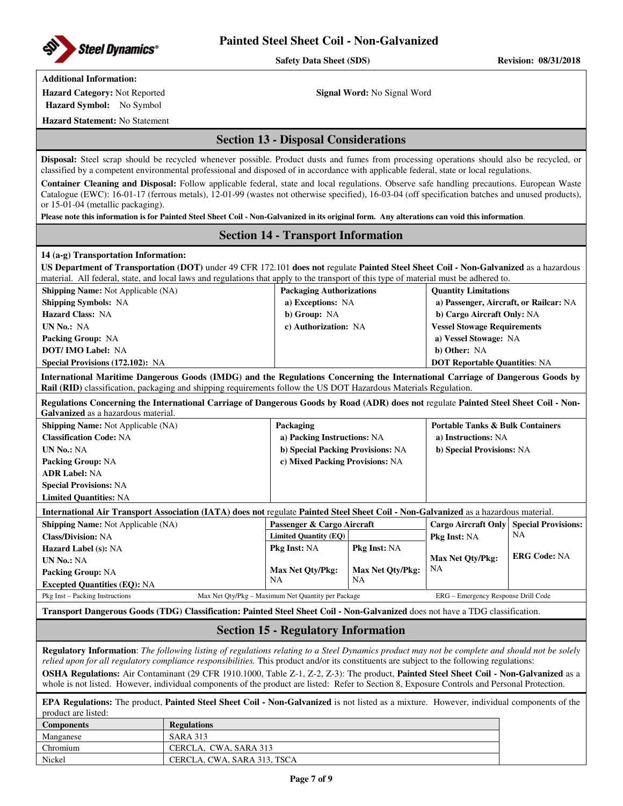

Safety Data Sheet (SDS) Revision: 08/31/2018

## **Additional Information:**

**Hazard Symbol:** No Symbol

**Hazard Category:** Not Reported **Signal Word:** No Signal Word

**Hazard Statement:** No Statement

## **Section 13 - Disposal Considerations**

**Disposal:** Steel scrap should be recycled whenever possible. Product dusts and fumes from processing operations should also be recycled, or classified by a competent environmental professional and disposed of in accordance with applicable federal, state or local regulations.

**Container Cleaning and Disposal:** Follow applicable federal, state and local regulations. Observe safe handling precautions. European Waste Catalogue (EWC): 16-01-17 (ferrous metals), 12-01-99 (wastes not otherwise specified), 16-03-04 (off specification batches and unused products), or 15-01-04 (metallic packaging).

**Please note this information is for Painted Steel Sheet Coil - Non-Galvanized in its original form. Any alterations can void this information**.

### **Section 14 - Transport Information**

### **14 (a-g) Transportation Information:**

| US Department of Transportation (DOT) under 49 CFR 172.101 does not regulate Painted Steel Sheet Coil - Non-Galvanized as a hazardous |
|---------------------------------------------------------------------------------------------------------------------------------------|
| material. All federal, state, and local laws and regulations that apply to the transport of this type of material must be adhered to. |
|                                                                                                                                       |

| <b>Shipping Name:</b> Not Applicable (NA) | <b>Packaging Authorizations</b> | <b>Quantity Limitations</b>            |
|-------------------------------------------|---------------------------------|----------------------------------------|
| <b>Shipping Symbols: NA</b>               | a) Exceptions: NA               | a) Passenger, Aircraft, or Railcar: NA |
| <b>Hazard Class: NA</b>                   | b) Group: NA                    | b) Cargo Aircraft Only: NA             |
| UN No.: NA                                | c) Authorization: NA            | <b>Vessel Stowage Requirements</b>     |
| <b>Packing Group: NA</b>                  |                                 | a) Vessel Stowage: NA                  |
| <b>DOT/IMO Label: NA</b>                  |                                 | b) Other: NA                           |
| <b>Special Provisions (172.102): NA</b>   |                                 | <b>DOT Reportable Quantities: NA</b>   |

**International Maritime Dangerous Goods (IMDG) and the Regulations Concerning the International Carriage of Dangerous Goods by Rail (RID)** classification, packaging and shipping requirements follow the US DOT Hazardous Materials Regulation.

**Regulations Concerning the International Carriage of Dangerous Goods by Road (ADR) does not** regulate **Painted Steel Sheet Coil - Non-Galvanized** as a hazardous material.

| <b>Shipping Name:</b> Not Applicable (NA) | Packaging                         | <b>Portable Tanks &amp; Bulk Containers</b> |
|-------------------------------------------|-----------------------------------|---------------------------------------------|
| <b>Classification Code: NA</b>            | a) Packing Instructions: NA       | a) Instructions: NA                         |
| <b>UN No.: NA</b>                         | b) Special Packing Provisions: NA | b) Special Provisions: NA                   |
| <b>Packing Group: NA</b>                  | c) Mixed Packing Provisions: NA   |                                             |
| <b>ADR Label: NA</b>                      |                                   |                                             |
| <b>Special Provisions: NA</b>             |                                   |                                             |
| <b>Limited Quantities: NA</b>             |                                   |                                             |

### **International Air Transport Association (IATA) does not** regulate **Painted Steel Sheet Coil - Non-Galvanized** as a hazardous material.

| <b>Shipping Name:</b> Not Applicable (NA) |  | Passenger & Cargo Aircraft                         |                         | <b>Cargo Aircraft Only   Special Provisions:</b> |    |
|-------------------------------------------|--|----------------------------------------------------|-------------------------|--------------------------------------------------|----|
| <b>Class/Division: NA</b>                 |  | Limited Quantity (EQ)                              |                         | <b>Pkg Inst: NA</b>                              | NΑ |
| <b>Hazard Label (s): NA</b>               |  | <b>Pkg Inst: NA</b>                                | <b>Pkg Inst: NA</b>     |                                                  |    |
| <b>UN No.: NA</b>                         |  | <b>Max Net Oty/Pkg:</b>                            |                         | <b>ERG Code: NA</b>                              |    |
| <b>Packing Group: NA</b>                  |  | <b>Max Net Oty/Pkg:</b>                            | <b>Max Net Oty/Pkg:</b> | NA                                               |    |
| <b>Excepted Quantities (EQ): NA</b>       |  | NA                                                 | NA                      |                                                  |    |
| Pkg Inst – Packing Instructions           |  | Max Net Qty/Pkg – Maximum Net Quantity per Package |                         | ERG – Emergency Response Drill Code              |    |

**Transport Dangerous Goods (TDG) Classification: Painted Steel Sheet Coil - Non-Galvanized** does not have a TDG classification.

## **Section 15 - Regulatory Information**

**Regulatory Information**: *The following listing of regulations relating to a Steel Dynamics product may not be complete and should not be solely relied upon for all regulatory compliance responsibilities.* This product and/or its constituents are subject to the following regulations:

**OSHA Regulations:** Air Contaminant (29 CFR 1910.1000, Table Z-1, Z-2, Z-3): The product, **Painted Steel Sheet Coil - Non-Galvanized** as a whole is not listed. However, individual components of the product are listed: Refer to Section 8, Exposure Controls and Personal Protection.

**EPA Regulations:** The product, **Painted Steel Sheet Coil - Non-Galvanized** is not listed as a mixture. However, individual components of the product are listed:

| <b>Components</b> | <b>Regulations</b>          |
|-------------------|-----------------------------|
| Manganese         | <b>SARA 313</b>             |
| Chromium          | CERCLA, CWA, SARA 313       |
| Nickel            | CERCLA. CWA. SARA 313. TSCA |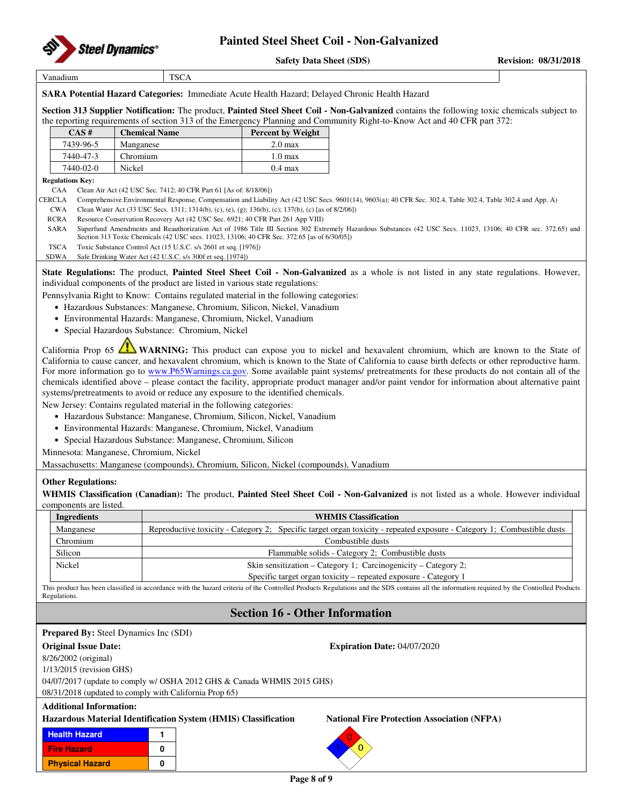

Vanadium TSCA

**SARA Potential Hazard Categories:** Immediate Acute Health Hazard; Delayed Chronic Health Hazard

**Section 313 Supplier Notification:** The product, **Painted Steel Sheet Coil - Non-Galvanized** contains the following toxic chemicals subject to the reporting requirements of section 313 of the Emergency Planning and Community Right-to-Know Act and 40 CFR part 372:

| CAS#      | <b>Chemical Name</b> | <b>Percent by Weight</b> |
|-----------|----------------------|--------------------------|
| 7439-96-5 | Manganese            | 2.0 <sub>max</sub>       |
| 7440-47-3 | Chromium             | $1.0 \text{ max}$        |
| 7440-02-0 | Nickel               | $0.4 \text{ max}$        |

### **Regulations Key:**

CAA Clean Air Act (42 USC Sec. 7412; 40 CFR Part 61 [As of: 8/18/06])

- CERCLA Comprehensive Environmental Response, Compensation and Liability Act (42 USC Secs. 9601(14), 9603(a); 40 CFR Sec. 302.4, Table 302.4, Table 302.4 and App. A)
- CWA Clean Water Act (33 USC Secs. 1311; 1314(b), (c), (e), (g); 136(b), (c); 137(b), (c) [as of 8/2/06])
- RCRA Resource Conservation Recovery Act (42 USC Sec. 6921; 40 CFR Part 261 App VIII)
- SARA Superfund Amendments and Reauthorization Act of 1986 Title III Section 302 Extremely Hazardous Substances (42 USC Secs. 11023, 13106; 40 CFR sec. 372.65) and Section 313 Toxic Chemicals (42 USC secs. 11023, 13106; 40 CFR Sec. 372.65 [as of 6/30/05])
- TSCA Toxic Substance Control Act (15 U.S.C. s/s 2601 et seq. [1976])
- SDWA Safe Drinking Water Act (42 U.S.C. s/s 300f et seq. [1974])

**State Regulations:** The product, **Painted Steel Sheet Coil - Non-Galvanized** as a whole is not listed in any state regulations. However, individual components of the product are listed in various state regulations:

Pennsylvania Right to Know: Contains regulated material in the following categories:

- Hazardous Substances: Manganese, Chromium, Silicon, Nickel, Vanadium
- Environmental Hazards: Manganese, Chromium, Nickel, Vanadium
- Special Hazardous Substance: Chromium, Nickel

California Prop 65 **WARNING:** This product can expose you to nickel and hexavalent chromium, which are known to the State of California to cause cancer, and hexavalent chromium, which is known to the State of California to cause birth defects or other reproductive harm. For more information go to www.P65Warnings.ca.gov. Some available paint systems/ pretreatments for these products do not contain all of the chemicals identified above – please contact the facility, appropriate product manager and/or paint vendor for information about alternative paint systems/pretreatments to avoid or reduce any exposure to the identified chemicals.

New Jersey: Contains regulated material in the following categories:

- Hazardous Substance: Manganese, Chromium, Silicon, Nickel, Vanadium
- Environmental Hazards: Manganese, Chromium, Nickel, Vanadium
- Special Hazardous Substance: Manganese, Chromium, Silicon

Minnesota: Manganese, Chromium, Nickel

Massachusetts: Manganese (compounds), Chromium, Silicon, Nickel (compounds), Vanadium

### **Other Regulations:**

**WHMIS Classification (Canadian):** The product, **Painted Steel Sheet Coil - Non-Galvanized** is not listed as a whole. However individual components are listed.

| Ingredients | <b>WHMIS Classification</b>                                                                                            |  |  |  |  |
|-------------|------------------------------------------------------------------------------------------------------------------------|--|--|--|--|
| Manganese   | Reproductive toxicity - Category 2; Specific target organ toxicity - repeated exposure - Category 1; Combustible dusts |  |  |  |  |
| Chromium    | Combustible dusts                                                                                                      |  |  |  |  |
| Silicon     | Flammable solids - Category 2: Combustible dusts                                                                       |  |  |  |  |
| Nickel      | Skin sensitization – Category 1; Carcinogenicity – Category 2;                                                         |  |  |  |  |
|             | Specific target organ toxicity – repeated exposure - Category 1                                                        |  |  |  |  |

This product has been classified in accordance with the hazard criteria of the Controlled Products Regulations and the SDS contains all the information required by the Controlled Products **Regulations** 

## **Section 16 - Other Information**

| <b>Prepared By:</b> Steel Dynamics Inc (SDI)           |                                                                        |                                                                |                                                    |  |  |  |  |  |  |
|--------------------------------------------------------|------------------------------------------------------------------------|----------------------------------------------------------------|----------------------------------------------------|--|--|--|--|--|--|
| <b>Original Issue Date:</b>                            |                                                                        |                                                                | <b>Expiration Date: 04/07/2020</b>                 |  |  |  |  |  |  |
| $8/26/2002$ (original)                                 |                                                                        |                                                                |                                                    |  |  |  |  |  |  |
| $1/13/2015$ (revision GHS)                             |                                                                        |                                                                |                                                    |  |  |  |  |  |  |
|                                                        | 04/07/2017 (update to comply w/ OSHA 2012 GHS & Canada WHMIS 2015 GHS) |                                                                |                                                    |  |  |  |  |  |  |
| 08/31/2018 (updated to comply with California Prop 65) |                                                                        |                                                                |                                                    |  |  |  |  |  |  |
| <b>Additional Information:</b>                         |                                                                        |                                                                |                                                    |  |  |  |  |  |  |
|                                                        |                                                                        | Hazardous Material Identification System (HMIS) Classification | <b>National Fire Protection Association (NFPA)</b> |  |  |  |  |  |  |
| <b>Health Hazard</b>                                   |                                                                        |                                                                |                                                    |  |  |  |  |  |  |
| <b>Fire Hazard</b>                                     | 0                                                                      |                                                                |                                                    |  |  |  |  |  |  |
| <b>Physical Hazard</b>                                 | 0                                                                      |                                                                |                                                    |  |  |  |  |  |  |